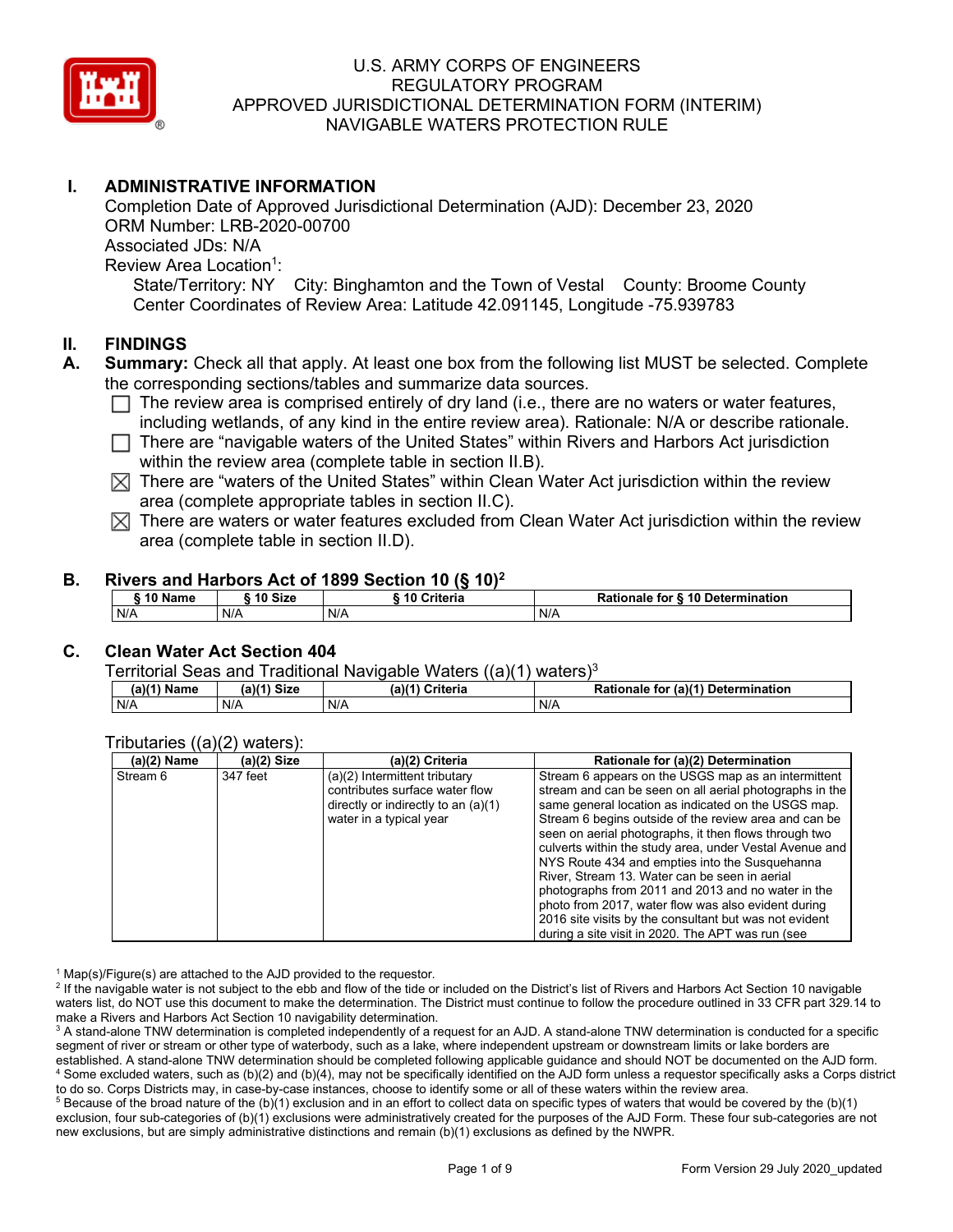

# **I. ADMINISTRATIVE INFORMATION**

Completion Date of Approved Jurisdictional Determination (AJD): December 23, 2020 ORM Number: LRB-2020-00700 Associated JDs: N/A Review Area Location<sup>1</sup>: State/Territory: NY City: Binghamton and the Town of Vestal County: Broome County Center Coordinates of Review Area: Latitude 42.091145, Longitude -75.939783

### **II. FINDINGS**

- **A. Summary:** Check all that apply. At least one box from the following list MUST be selected. Complete the corresponding sections/tables and summarize data sources.
	- $\Box$  The review area is comprised entirely of dry land (i.e., there are no waters or water features, including wetlands, of any kind in the entire review area). Rationale: N/A or describe rationale.
	- $\Box$  There are "navigable waters of the United States" within Rivers and Harbors Act jurisdiction within the review area (complete table in section II.B).
	- $\boxtimes$  There are "waters of the United States" within Clean Water Act jurisdiction within the review area (complete appropriate tables in section II.C).
	- $\boxtimes$  There are waters or water features excluded from Clean Water Act jurisdiction within the review area (complete table in section II.D).

#### **B. Rivers and Harbors Act of 1899 Section 10 (§ 10)2**

| $\degree$ 10 Name | 10 Size | Criteria | <b>Rationale for § 10 Determination</b> |  |
|-------------------|---------|----------|-----------------------------------------|--|
| N/A               | N/A     | N/A      | N/A                                     |  |

## **C. Clean Water Act Section 404**

Territorial Seas and Traditional Navigable Waters  $((a)(1)$  waters)<sup>3</sup>

| (a)(1) Name | <b>Size</b> | $(a)$ <sup><math>(4)</math></sup> | (a)(1) Determination |
|-------------|-------------|-----------------------------------|----------------------|
|             | (a)         | Criteria                          | <b>Rationale for</b> |
| N/A         | N/A         | N/A                               | N/A                  |

#### Tributaries ((a)(2) waters):

| $(a)(2)$ Name | (a)(2) Size | (a)(2) Criteria                                                         | Rationale for (a)(2) Determination                                                                             |
|---------------|-------------|-------------------------------------------------------------------------|----------------------------------------------------------------------------------------------------------------|
| Stream 6      | 347 feet    | (a)(2) Intermittent tributary                                           | Stream 6 appears on the USGS map as an intermittent                                                            |
|               |             | contributes surface water flow<br>directly or indirectly to an $(a)(1)$ | stream and can be seen on all aerial photographs in the<br>same general location as indicated on the USGS map. |
|               |             | water in a typical year                                                 | Stream 6 begins outside of the review area and can be<br>seen on aerial photographs, it then flows through two |
|               |             |                                                                         | culverts within the study area, under Vestal Avenue and                                                        |
|               |             |                                                                         | NYS Route 434 and empties into the Susquehanna                                                                 |
|               |             |                                                                         | River, Stream 13. Water can be seen in aerial                                                                  |
|               |             |                                                                         | photographs from 2011 and 2013 and no water in the                                                             |
|               |             |                                                                         | photo from 2017, water flow was also evident during                                                            |
|               |             |                                                                         | 2016 site visits by the consultant but was not evident                                                         |
|               |             |                                                                         | during a site visit in 2020. The APT was run (see                                                              |

 $1$  Map(s)/Figure(s) are attached to the AJD provided to the requestor.

<sup>2</sup> If the navigable water is not subject to the ebb and flow of the tide or included on the District's list of Rivers and Harbors Act Section 10 navigable waters list, do NOT use this document to make the determination. The District must continue to follow the procedure outlined in 33 CFR part 329.14 to make a Rivers and Harbors Act Section 10 navigability determination.

<sup>3</sup> A stand-alone TNW determination is completed independently of a request for an AJD. A stand-alone TNW determination is conducted for a specific segment of river or stream or other type of waterbody, such as a lake, where independent upstream or downstream limits or lake borders are established. A stand-alone TNW determination should be completed following applicable guidance and should NOT be documented on the AJD form. <sup>4</sup> Some excluded waters, such as (b)(2) and (b)(4), may not be specifically identified on the AJD form unless a requestor specifically asks a Corps district to do so. Corps Districts may, in case-by-case instances, choose to identify some or all of these waters within the review area.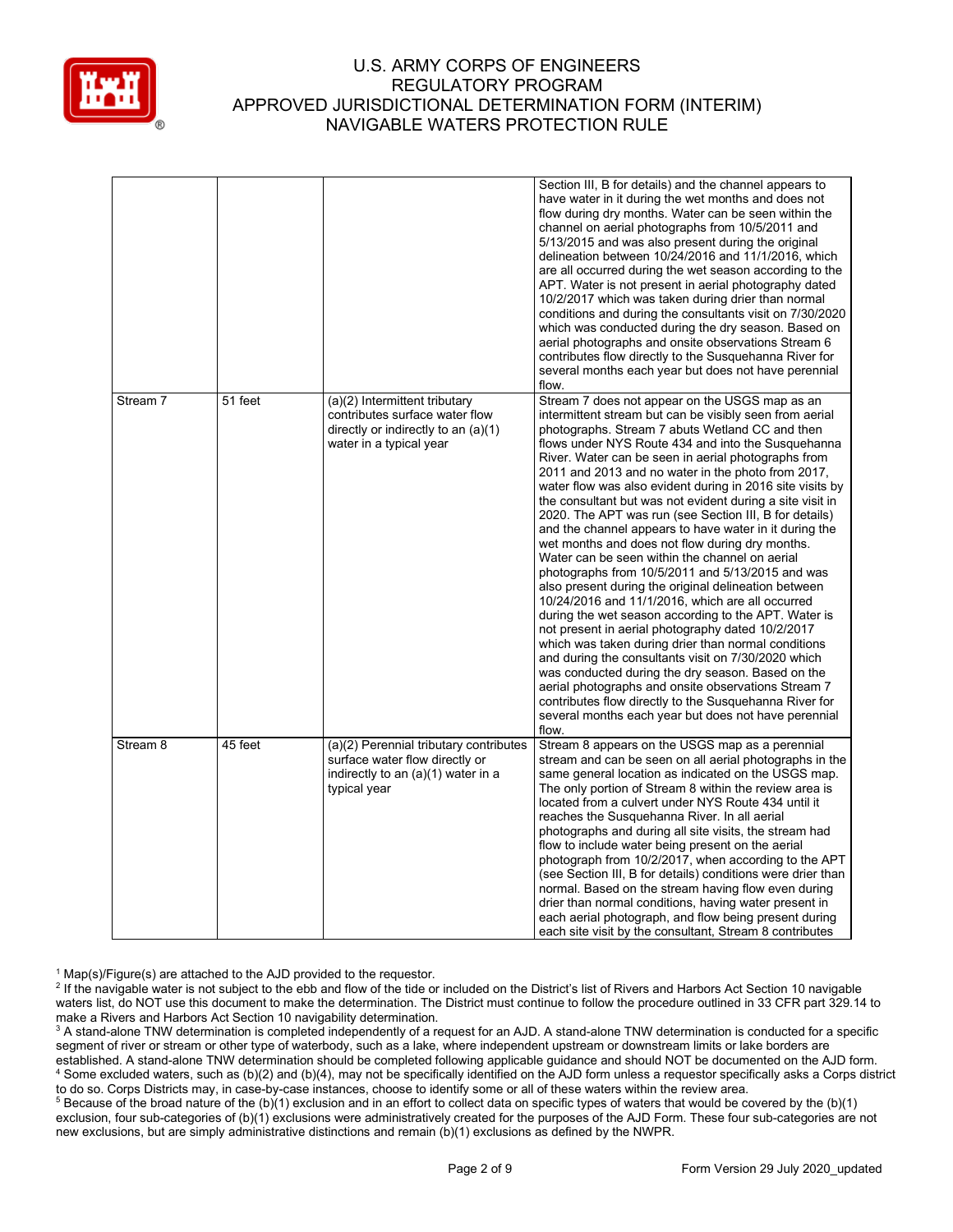

|                     |         |                                                                                                                                   | Section III, B for details) and the channel appears to<br>have water in it during the wet months and does not<br>flow during dry months. Water can be seen within the<br>channel on aerial photographs from 10/5/2011 and<br>5/13/2015 and was also present during the original<br>delineation between 10/24/2016 and 11/1/2016, which<br>are all occurred during the wet season according to the<br>APT. Water is not present in aerial photography dated<br>10/2/2017 which was taken during drier than normal<br>conditions and during the consultants visit on 7/30/2020<br>which was conducted during the dry season. Based on<br>aerial photographs and onsite observations Stream 6<br>contributes flow directly to the Susquehanna River for<br>several months each year but does not have perennial<br>flow.                                                                                                                                                                                                                                                                                                                                                                                                                                                                                                |
|---------------------|---------|-----------------------------------------------------------------------------------------------------------------------------------|----------------------------------------------------------------------------------------------------------------------------------------------------------------------------------------------------------------------------------------------------------------------------------------------------------------------------------------------------------------------------------------------------------------------------------------------------------------------------------------------------------------------------------------------------------------------------------------------------------------------------------------------------------------------------------------------------------------------------------------------------------------------------------------------------------------------------------------------------------------------------------------------------------------------------------------------------------------------------------------------------------------------------------------------------------------------------------------------------------------------------------------------------------------------------------------------------------------------------------------------------------------------------------------------------------------------|
| Stream 7            | 51 feet | (a)(2) Intermittent tributary<br>contributes surface water flow<br>directly or indirectly to an (a)(1)<br>water in a typical year | Stream 7 does not appear on the USGS map as an<br>intermittent stream but can be visibly seen from aerial<br>photographs. Stream 7 abuts Wetland CC and then<br>flows under NYS Route 434 and into the Susquehanna<br>River. Water can be seen in aerial photographs from<br>2011 and 2013 and no water in the photo from 2017,<br>water flow was also evident during in 2016 site visits by<br>the consultant but was not evident during a site visit in<br>2020. The APT was run (see Section III, B for details)<br>and the channel appears to have water in it during the<br>wet months and does not flow during dry months.<br>Water can be seen within the channel on aerial<br>photographs from 10/5/2011 and 5/13/2015 and was<br>also present during the original delineation between<br>10/24/2016 and 11/1/2016, which are all occurred<br>during the wet season according to the APT. Water is<br>not present in aerial photography dated 10/2/2017<br>which was taken during drier than normal conditions<br>and during the consultants visit on 7/30/2020 which<br>was conducted during the dry season. Based on the<br>aerial photographs and onsite observations Stream 7<br>contributes flow directly to the Susquehanna River for<br>several months each year but does not have perennial<br>flow. |
| Stream <sub>8</sub> | 45 feet | (a)(2) Perennial tributary contributes<br>surface water flow directly or<br>indirectly to an (a)(1) water in a<br>typical year    | Stream 8 appears on the USGS map as a perennial<br>stream and can be seen on all aerial photographs in the<br>same general location as indicated on the USGS map.<br>The only portion of Stream 8 within the review area is<br>located from a culvert under NYS Route 434 until it<br>reaches the Susquehanna River. In all aerial<br>photographs and during all site visits, the stream had<br>flow to include water being present on the aerial<br>photograph from 10/2/2017, when according to the APT<br>(see Section III, B for details) conditions were drier than<br>normal. Based on the stream having flow even during<br>drier than normal conditions, having water present in<br>each aerial photograph, and flow being present during<br>each site visit by the consultant, Stream 8 contributes                                                                                                                                                                                                                                                                                                                                                                                                                                                                                                         |

 $1$  Map(s)/Figure(s) are attached to the AJD provided to the requestor.

<sup>2</sup> If the navigable water is not subject to the ebb and flow of the tide or included on the District's list of Rivers and Harbors Act Section 10 navigable waters list, do NOT use this document to make the determination. The District must continue to follow the procedure outlined in 33 CFR part 329.14 to make a Rivers and Harbors Act Section 10 navigability determination.

<sup>3</sup> A stand-alone TNW determination is completed independently of a request for an AJD. A stand-alone TNW determination is conducted for a specific segment of river or stream or other type of waterbody, such as a lake, where independent upstream or downstream limits or lake borders are established. A stand-alone TNW determination should be completed following applicable guidance and should NOT be documented on the AJD form. <sup>4</sup> Some excluded waters, such as (b)(2) and (b)(4), may not be specifically identified on the AJD form unless a requestor specifically asks a Corps district to do so. Corps Districts may, in case-by-case instances, choose to identify some or all of these waters within the review area.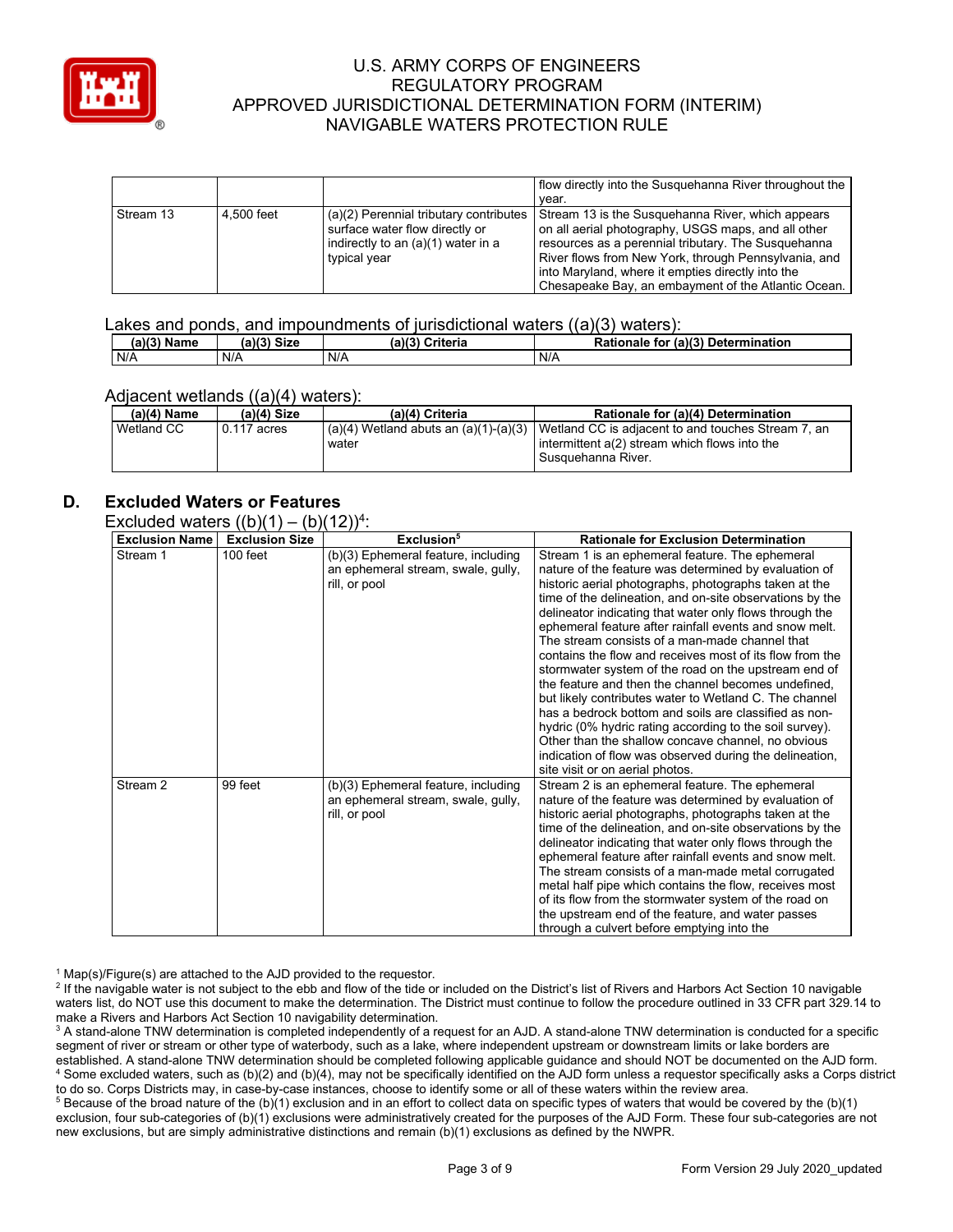

|           |            |                                                                          | flow directly into the Susquehanna River throughout the<br>vear.                                            |
|-----------|------------|--------------------------------------------------------------------------|-------------------------------------------------------------------------------------------------------------|
|           |            |                                                                          |                                                                                                             |
| Stream 13 | 4.500 feet | (a)(2) Perennial tributary contributes<br>surface water flow directly or | Stream 13 is the Susquehanna River, which appears<br>on all aerial photography, USGS maps, and all other    |
|           |            | indirectly to an (a)(1) water in a<br>typical year                       | resources as a perennial tributary. The Susquehanna<br>River flows from New York, through Pennsylvania, and |
|           |            |                                                                          |                                                                                                             |
|           |            |                                                                          | into Maryland, where it empties directly into the                                                           |
|           |            |                                                                          | Chesapeake Bay, an embayment of the Atlantic Ocean.                                                         |

#### Lakes and ponds, and impoundments of jurisdictional waters ((a)(3) waters):

| (a)(3) Name | <b>Size</b><br>(a)(?') | (a)(3)<br><b>Criteria</b> | (a)(3) Determination<br><b>Rationale</b><br>tor |
|-------------|------------------------|---------------------------|-------------------------------------------------|
| N/A         | N/A                    | N/A                       | N/A                                             |

#### Adjacent wetlands ((a)(4) waters):

|               | $\frac{1}{2}$ |                                                    |                                                                                                                               |  |  |
|---------------|---------------|----------------------------------------------------|-------------------------------------------------------------------------------------------------------------------------------|--|--|
| $(a)(4)$ Name | $(a)(4)$ Size | (a)(4) Criteria                                    | Rationale for (a)(4) Determination                                                                                            |  |  |
| Wetland CC    | 0.117 acres   | $(a)(4)$ Wetland abuts an $(a)(1)-(a)(3)$<br>water | Wetland CC is adjacent to and touches Stream 7, an<br>l intermittent a(2) stream which flows into the<br>l Susquehanna River. |  |  |

## **D. Excluded Waters or Features**

Excluded waters  $((b)(1) - (b)(12))^4$ :

| <b>Exclusion Name</b> | $\sqrt{2}$<br><b>Exclusion Size</b> | - , ,<br>Exclusion <sup>5</sup>                                                            | <b>Rationale for Exclusion Determination</b>                                                                                                                                                                                                                                                                                                                                                                                                                                                                                                                                                                                                                                                                                                                                                                                                                                                                      |
|-----------------------|-------------------------------------|--------------------------------------------------------------------------------------------|-------------------------------------------------------------------------------------------------------------------------------------------------------------------------------------------------------------------------------------------------------------------------------------------------------------------------------------------------------------------------------------------------------------------------------------------------------------------------------------------------------------------------------------------------------------------------------------------------------------------------------------------------------------------------------------------------------------------------------------------------------------------------------------------------------------------------------------------------------------------------------------------------------------------|
| Stream 1              | $100$ feet                          | (b)(3) Ephemeral feature, including<br>an ephemeral stream, swale, gully,<br>rill, or pool | Stream 1 is an ephemeral feature. The ephemeral<br>nature of the feature was determined by evaluation of<br>historic aerial photographs, photographs taken at the<br>time of the delineation, and on-site observations by the<br>delineator indicating that water only flows through the<br>ephemeral feature after rainfall events and snow melt.<br>The stream consists of a man-made channel that<br>contains the flow and receives most of its flow from the<br>stormwater system of the road on the upstream end of<br>the feature and then the channel becomes undefined.<br>but likely contributes water to Wetland C. The channel<br>has a bedrock bottom and soils are classified as non-<br>hydric (0% hydric rating according to the soil survey).<br>Other than the shallow concave channel, no obvious<br>indication of flow was observed during the delineation,<br>site visit or on aerial photos. |
| Stream 2              | 99 feet                             | (b)(3) Ephemeral feature, including<br>an ephemeral stream, swale, gully,<br>rill, or pool | Stream 2 is an ephemeral feature. The ephemeral<br>nature of the feature was determined by evaluation of<br>historic aerial photographs, photographs taken at the<br>time of the delineation, and on-site observations by the<br>delineator indicating that water only flows through the<br>ephemeral feature after rainfall events and snow melt.<br>The stream consists of a man-made metal corrugated<br>metal half pipe which contains the flow, receives most<br>of its flow from the stormwater system of the road on<br>the upstream end of the feature, and water passes<br>through a culvert before emptying into the                                                                                                                                                                                                                                                                                    |

 $1$  Map(s)/Figure(s) are attached to the AJD provided to the requestor.

<sup>2</sup> If the navigable water is not subject to the ebb and flow of the tide or included on the District's list of Rivers and Harbors Act Section 10 navigable waters list, do NOT use this document to make the determination. The District must continue to follow the procedure outlined in 33 CFR part 329.14 to make a Rivers and Harbors Act Section 10 navigability determination.

<sup>3</sup> A stand-alone TNW determination is completed independently of a request for an AJD. A stand-alone TNW determination is conducted for a specific segment of river or stream or other type of waterbody, such as a lake, where independent upstream or downstream limits or lake borders are established. A stand-alone TNW determination should be completed following applicable guidance and should NOT be documented on the AJD form. <sup>4</sup> Some excluded waters, such as (b)(2) and (b)(4), may not be specifically identified on the AJD form unless a requestor specifically asks a Corps district to do so. Corps Districts may, in case-by-case instances, choose to identify some or all of these waters within the review area.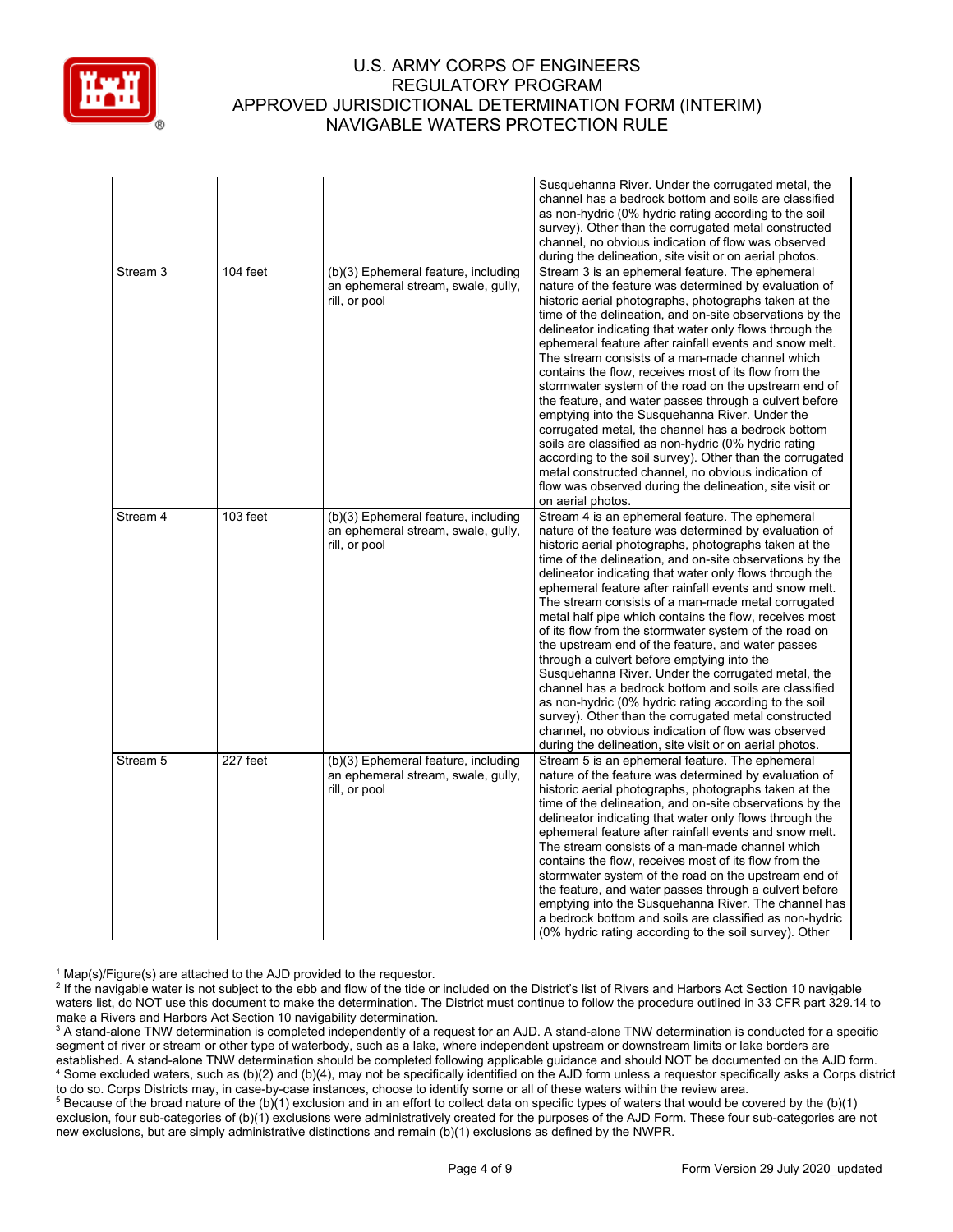

|                     |            |                                                                                            | Susquehanna River. Under the corrugated metal, the<br>channel has a bedrock bottom and soils are classified<br>as non-hydric (0% hydric rating according to the soil<br>survey). Other than the corrugated metal constructed<br>channel, no obvious indication of flow was observed<br>during the delineation, site visit or on aerial photos.                                                                                                                                                                                                                                                                                                                                                                                                                                                                                                                                                                                                                                   |
|---------------------|------------|--------------------------------------------------------------------------------------------|----------------------------------------------------------------------------------------------------------------------------------------------------------------------------------------------------------------------------------------------------------------------------------------------------------------------------------------------------------------------------------------------------------------------------------------------------------------------------------------------------------------------------------------------------------------------------------------------------------------------------------------------------------------------------------------------------------------------------------------------------------------------------------------------------------------------------------------------------------------------------------------------------------------------------------------------------------------------------------|
| Stream <sub>3</sub> | $104$ feet | (b)(3) Ephemeral feature, including<br>an ephemeral stream, swale, gully,<br>rill, or pool | Stream 3 is an ephemeral feature. The ephemeral<br>nature of the feature was determined by evaluation of<br>historic aerial photographs, photographs taken at the<br>time of the delineation, and on-site observations by the<br>delineator indicating that water only flows through the<br>ephemeral feature after rainfall events and snow melt.<br>The stream consists of a man-made channel which<br>contains the flow, receives most of its flow from the<br>stormwater system of the road on the upstream end of<br>the feature, and water passes through a culvert before<br>emptying into the Susquehanna River. Under the<br>corrugated metal, the channel has a bedrock bottom<br>soils are classified as non-hydric (0% hydric rating<br>according to the soil survey). Other than the corrugated<br>metal constructed channel, no obvious indication of<br>flow was observed during the delineation, site visit or<br>on aerial photos.                              |
| Stream 4            | 103 feet   | (b)(3) Ephemeral feature, including<br>an ephemeral stream, swale, gully,<br>rill, or pool | Stream 4 is an ephemeral feature. The ephemeral<br>nature of the feature was determined by evaluation of<br>historic aerial photographs, photographs taken at the<br>time of the delineation, and on-site observations by the<br>delineator indicating that water only flows through the<br>ephemeral feature after rainfall events and snow melt.<br>The stream consists of a man-made metal corrugated<br>metal half pipe which contains the flow, receives most<br>of its flow from the stormwater system of the road on<br>the upstream end of the feature, and water passes<br>through a culvert before emptying into the<br>Susquehanna River. Under the corrugated metal, the<br>channel has a bedrock bottom and soils are classified<br>as non-hydric (0% hydric rating according to the soil<br>survey). Other than the corrugated metal constructed<br>channel, no obvious indication of flow was observed<br>during the delineation, site visit or on aerial photos. |
| Stream 5            | 227 feet   | (b)(3) Ephemeral feature, including<br>an ephemeral stream, swale, gully,<br>rill, or pool | Stream 5 is an ephemeral feature. The ephemeral<br>nature of the feature was determined by evaluation of<br>historic aerial photographs, photographs taken at the<br>time of the delineation, and on-site observations by the<br>delineator indicating that water only flows through the<br>ephemeral feature after rainfall events and snow melt.<br>The stream consists of a man-made channel which<br>contains the flow, receives most of its flow from the<br>stormwater system of the road on the upstream end of<br>the feature, and water passes through a culvert before<br>emptying into the Susquehanna River. The channel has<br>a bedrock bottom and soils are classified as non-hydric<br>(0% hydric rating according to the soil survey). Other                                                                                                                                                                                                                    |

 $1$  Map(s)/Figure(s) are attached to the AJD provided to the requestor.

<sup>2</sup> If the navigable water is not subject to the ebb and flow of the tide or included on the District's list of Rivers and Harbors Act Section 10 navigable waters list, do NOT use this document to make the determination. The District must continue to follow the procedure outlined in 33 CFR part 329.14 to make a Rivers and Harbors Act Section 10 navigability determination.

<sup>3</sup> A stand-alone TNW determination is completed independently of a request for an AJD. A stand-alone TNW determination is conducted for a specific segment of river or stream or other type of waterbody, such as a lake, where independent upstream or downstream limits or lake borders are established. A stand-alone TNW determination should be completed following applicable guidance and should NOT be documented on the AJD form. <sup>4</sup> Some excluded waters, such as (b)(2) and (b)(4), may not be specifically identified on the AJD form unless a requestor specifically asks a Corps district to do so. Corps Districts may, in case-by-case instances, choose to identify some or all of these waters within the review area.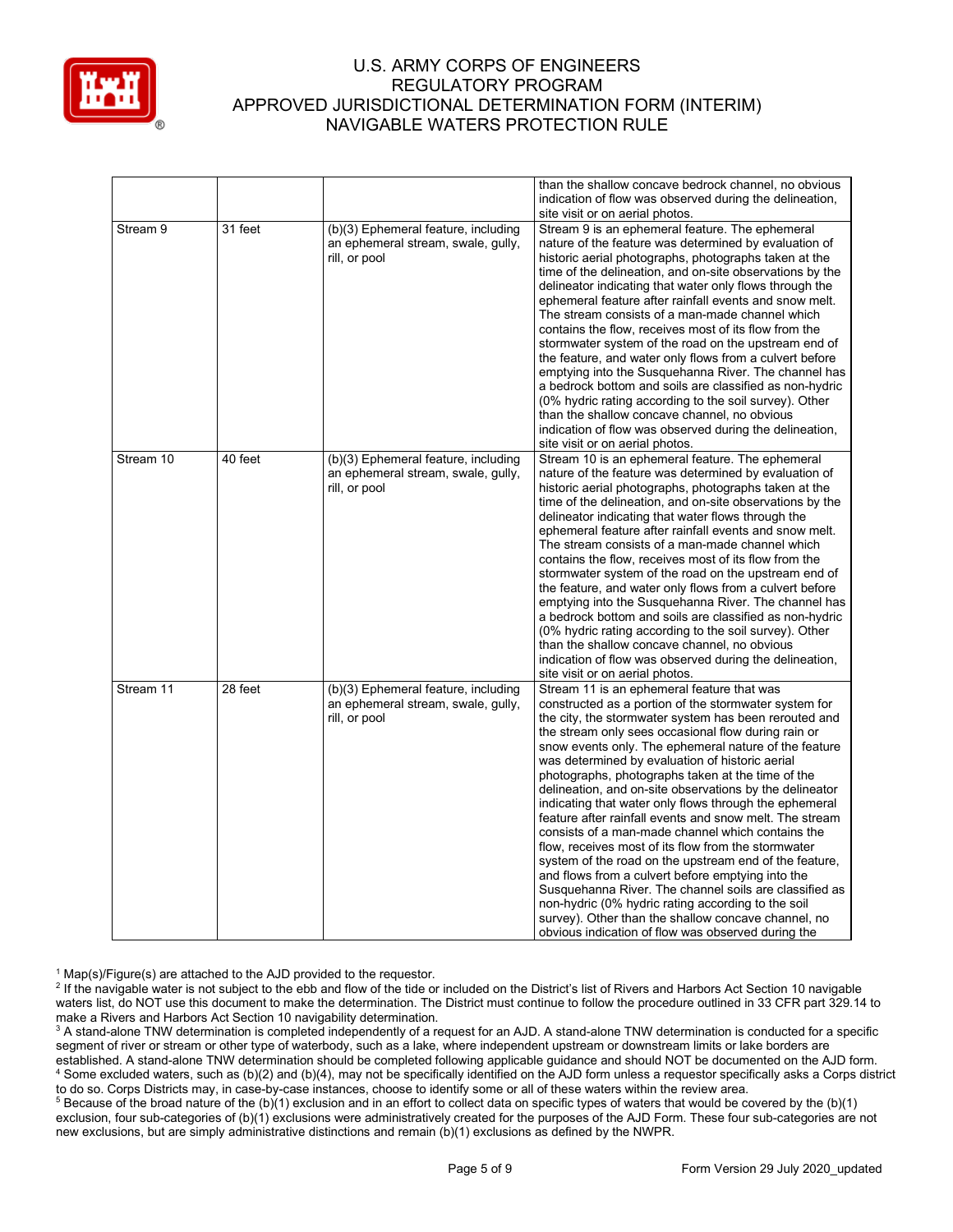

|           |         |                                                                                            | than the shallow concave bedrock channel, no obvious<br>indication of flow was observed during the delineation,<br>site visit or on aerial photos.                                                                                                                                                                                                                                                                                                                                                                                                                                                                                                                                                                                                                                                                                                                                                                                                                                                                           |
|-----------|---------|--------------------------------------------------------------------------------------------|------------------------------------------------------------------------------------------------------------------------------------------------------------------------------------------------------------------------------------------------------------------------------------------------------------------------------------------------------------------------------------------------------------------------------------------------------------------------------------------------------------------------------------------------------------------------------------------------------------------------------------------------------------------------------------------------------------------------------------------------------------------------------------------------------------------------------------------------------------------------------------------------------------------------------------------------------------------------------------------------------------------------------|
| Stream 9  | 31 feet | (b)(3) Ephemeral feature, including<br>an ephemeral stream, swale, gully,<br>rill, or pool | Stream 9 is an ephemeral feature. The ephemeral<br>nature of the feature was determined by evaluation of<br>historic aerial photographs, photographs taken at the<br>time of the delineation, and on-site observations by the<br>delineator indicating that water only flows through the<br>ephemeral feature after rainfall events and snow melt.<br>The stream consists of a man-made channel which<br>contains the flow, receives most of its flow from the<br>stormwater system of the road on the upstream end of<br>the feature, and water only flows from a culvert before<br>emptying into the Susquehanna River. The channel has<br>a bedrock bottom and soils are classified as non-hydric<br>(0% hydric rating according to the soil survey). Other<br>than the shallow concave channel, no obvious<br>indication of flow was observed during the delineation,<br>site visit or on aerial photos.                                                                                                                 |
| Stream 10 | 40 feet | (b)(3) Ephemeral feature, including<br>an ephemeral stream, swale, gully,<br>rill, or pool | Stream 10 is an ephemeral feature. The ephemeral<br>nature of the feature was determined by evaluation of<br>historic aerial photographs, photographs taken at the<br>time of the delineation, and on-site observations by the<br>delineator indicating that water flows through the<br>ephemeral feature after rainfall events and snow melt.<br>The stream consists of a man-made channel which<br>contains the flow, receives most of its flow from the<br>stormwater system of the road on the upstream end of<br>the feature, and water only flows from a culvert before<br>emptying into the Susquehanna River. The channel has<br>a bedrock bottom and soils are classified as non-hydric<br>(0% hydric rating according to the soil survey). Other<br>than the shallow concave channel, no obvious<br>indication of flow was observed during the delineation,<br>site visit or on aerial photos.                                                                                                                     |
| Stream 11 | 28 feet | (b)(3) Ephemeral feature, including<br>an ephemeral stream, swale, gully,<br>rill, or pool | Stream 11 is an ephemeral feature that was<br>constructed as a portion of the stormwater system for<br>the city, the stormwater system has been rerouted and<br>the stream only sees occasional flow during rain or<br>snow events only. The ephemeral nature of the feature<br>was determined by evaluation of historic aerial<br>photographs, photographs taken at the time of the<br>delineation, and on-site observations by the delineator<br>indicating that water only flows through the ephemeral<br>feature after rainfall events and snow melt. The stream<br>consists of a man-made channel which contains the<br>flow, receives most of its flow from the stormwater<br>system of the road on the upstream end of the feature,<br>and flows from a culvert before emptying into the<br>Susquehanna River. The channel soils are classified as<br>non-hydric (0% hydric rating according to the soil<br>survey). Other than the shallow concave channel, no<br>obvious indication of flow was observed during the |

 $1$  Map(s)/Figure(s) are attached to the AJD provided to the requestor.

<sup>2</sup> If the navigable water is not subject to the ebb and flow of the tide or included on the District's list of Rivers and Harbors Act Section 10 navigable waters list, do NOT use this document to make the determination. The District must continue to follow the procedure outlined in 33 CFR part 329.14 to make a Rivers and Harbors Act Section 10 navigability determination.

<sup>3</sup> A stand-alone TNW determination is completed independently of a request for an AJD. A stand-alone TNW determination is conducted for a specific segment of river or stream or other type of waterbody, such as a lake, where independent upstream or downstream limits or lake borders are established. A stand-alone TNW determination should be completed following applicable guidance and should NOT be documented on the AJD form. <sup>4</sup> Some excluded waters, such as (b)(2) and (b)(4), may not be specifically identified on the AJD form unless a requestor specifically asks a Corps district to do so. Corps Districts may, in case-by-case instances, choose to identify some or all of these waters within the review area.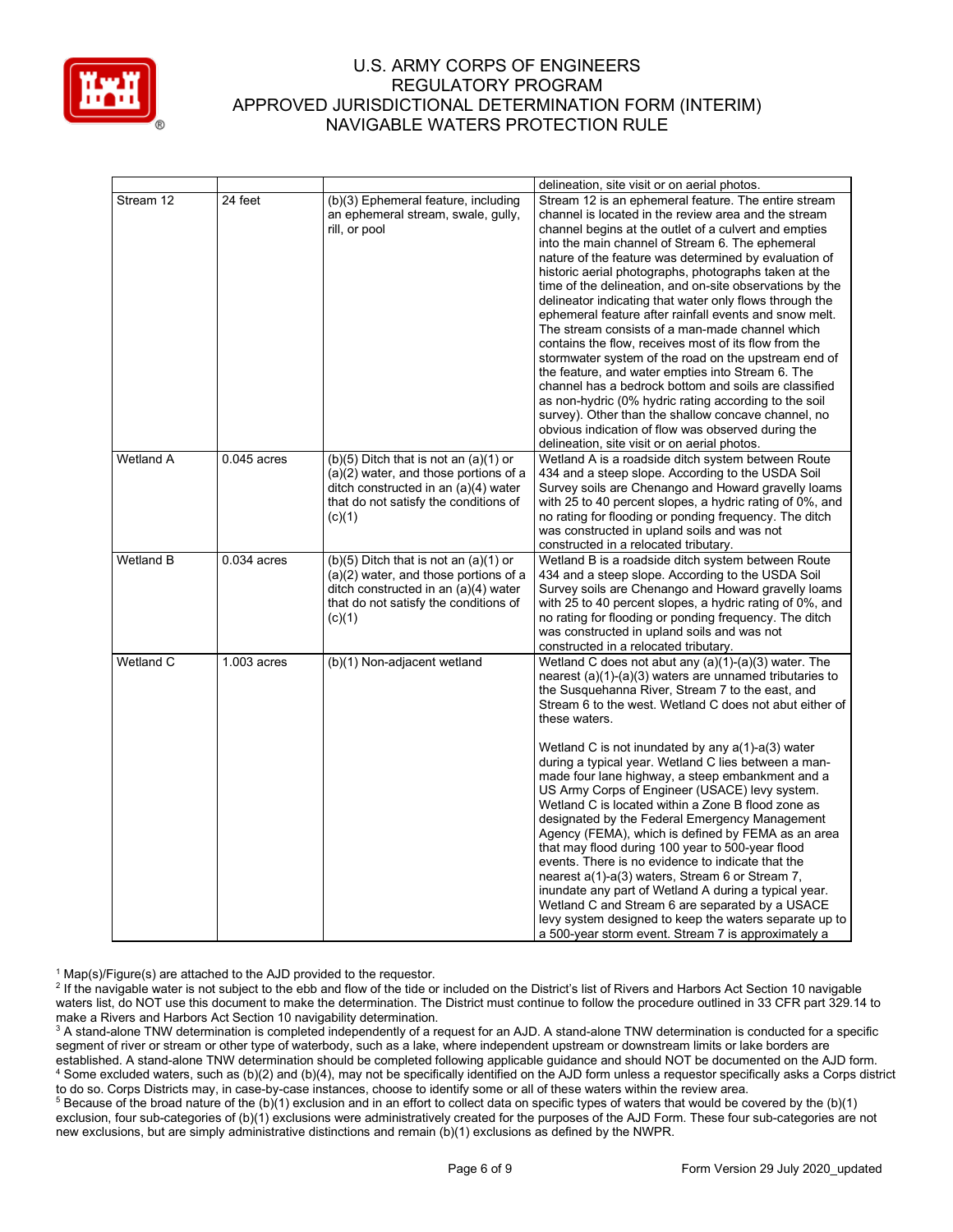

|                  |               |                                                                                                                                                                                 | delineation, site visit or on aerial photos.                                                                                                                                                                                                                                                                                                                                                                                                                                                                                                                                                                                                                                                                                                                                                                                                                                                                                                                                                                                         |
|------------------|---------------|---------------------------------------------------------------------------------------------------------------------------------------------------------------------------------|--------------------------------------------------------------------------------------------------------------------------------------------------------------------------------------------------------------------------------------------------------------------------------------------------------------------------------------------------------------------------------------------------------------------------------------------------------------------------------------------------------------------------------------------------------------------------------------------------------------------------------------------------------------------------------------------------------------------------------------------------------------------------------------------------------------------------------------------------------------------------------------------------------------------------------------------------------------------------------------------------------------------------------------|
| Stream 12        | 24 feet       | (b)(3) Ephemeral feature, including<br>an ephemeral stream, swale, gully,<br>rill, or pool                                                                                      | Stream 12 is an ephemeral feature. The entire stream<br>channel is located in the review area and the stream<br>channel begins at the outlet of a culvert and empties<br>into the main channel of Stream 6. The ephemeral<br>nature of the feature was determined by evaluation of<br>historic aerial photographs, photographs taken at the<br>time of the delineation, and on-site observations by the<br>delineator indicating that water only flows through the<br>ephemeral feature after rainfall events and snow melt.<br>The stream consists of a man-made channel which<br>contains the flow, receives most of its flow from the<br>stormwater system of the road on the upstream end of<br>the feature, and water empties into Stream 6. The<br>channel has a bedrock bottom and soils are classified<br>as non-hydric (0% hydric rating according to the soil<br>survey). Other than the shallow concave channel, no<br>obvious indication of flow was observed during the<br>delineation, site visit or on aerial photos. |
| <b>Wetland A</b> | $0.045$ acres | $(b)(5)$ Ditch that is not an $(a)(1)$ or<br>$(a)(2)$ water, and those portions of a<br>ditch constructed in an (a)(4) water<br>that do not satisfy the conditions of<br>(c)(1) | Wetland A is a roadside ditch system between Route<br>434 and a steep slope. According to the USDA Soil<br>Survey soils are Chenango and Howard gravelly loams<br>with 25 to 40 percent slopes, a hydric rating of 0%, and<br>no rating for flooding or ponding frequency. The ditch<br>was constructed in upland soils and was not<br>constructed in a relocated tributary.                                                                                                                                                                                                                                                                                                                                                                                                                                                                                                                                                                                                                                                         |
| <b>Wetland B</b> | $0.034$ acres | $(b)(5)$ Ditch that is not an $(a)(1)$ or<br>$(a)(2)$ water, and those portions of a<br>ditch constructed in an (a)(4) water<br>that do not satisfy the conditions of<br>(c)(1) | Wetland B is a roadside ditch system between Route<br>434 and a steep slope. According to the USDA Soil<br>Survey soils are Chenango and Howard gravelly loams<br>with 25 to 40 percent slopes, a hydric rating of 0%, and<br>no rating for flooding or ponding frequency. The ditch<br>was constructed in upland soils and was not<br>constructed in a relocated tributary.                                                                                                                                                                                                                                                                                                                                                                                                                                                                                                                                                                                                                                                         |
| Wetland C        | $1.003$ acres | (b)(1) Non-adjacent wetland                                                                                                                                                     | Wetland C does not abut any (a)(1)-(a)(3) water. The<br>nearest $(a)(1)-(a)(3)$ waters are unnamed tributaries to<br>the Susquehanna River, Stream 7 to the east, and<br>Stream 6 to the west. Wetland C does not abut either of<br>these waters.<br>Wetland C is not inundated by any $a(1)$ -a(3) water<br>during a typical year. Wetland C lies between a man-<br>made four lane highway, a steep embankment and a<br>US Army Corps of Engineer (USACE) levy system.<br>Wetland C is located within a Zone B flood zone as<br>designated by the Federal Emergency Management<br>Agency (FEMA), which is defined by FEMA as an area<br>that may flood during 100 year to 500-year flood<br>events. There is no evidence to indicate that the<br>nearest a(1)-a(3) waters, Stream 6 or Stream 7,<br>inundate any part of Wetland A during a typical year.<br>Wetland C and Stream 6 are separated by a USACE<br>levy system designed to keep the waters separate up to<br>a 500-year storm event. Stream 7 is approximately a       |

 $1$  Map(s)/Figure(s) are attached to the AJD provided to the requestor.

<sup>2</sup> If the navigable water is not subject to the ebb and flow of the tide or included on the District's list of Rivers and Harbors Act Section 10 navigable waters list, do NOT use this document to make the determination. The District must continue to follow the procedure outlined in 33 CFR part 329.14 to make a Rivers and Harbors Act Section 10 navigability determination.

<sup>3</sup> A stand-alone TNW determination is completed independently of a request for an AJD. A stand-alone TNW determination is conducted for a specific segment of river or stream or other type of waterbody, such as a lake, where independent upstream or downstream limits or lake borders are established. A stand-alone TNW determination should be completed following applicable guidance and should NOT be documented on the AJD form. <sup>4</sup> Some excluded waters, such as (b)(2) and (b)(4), may not be specifically identified on the AJD form unless a requestor specifically asks a Corps district to do so. Corps Districts may, in case-by-case instances, choose to identify some or all of these waters within the review area.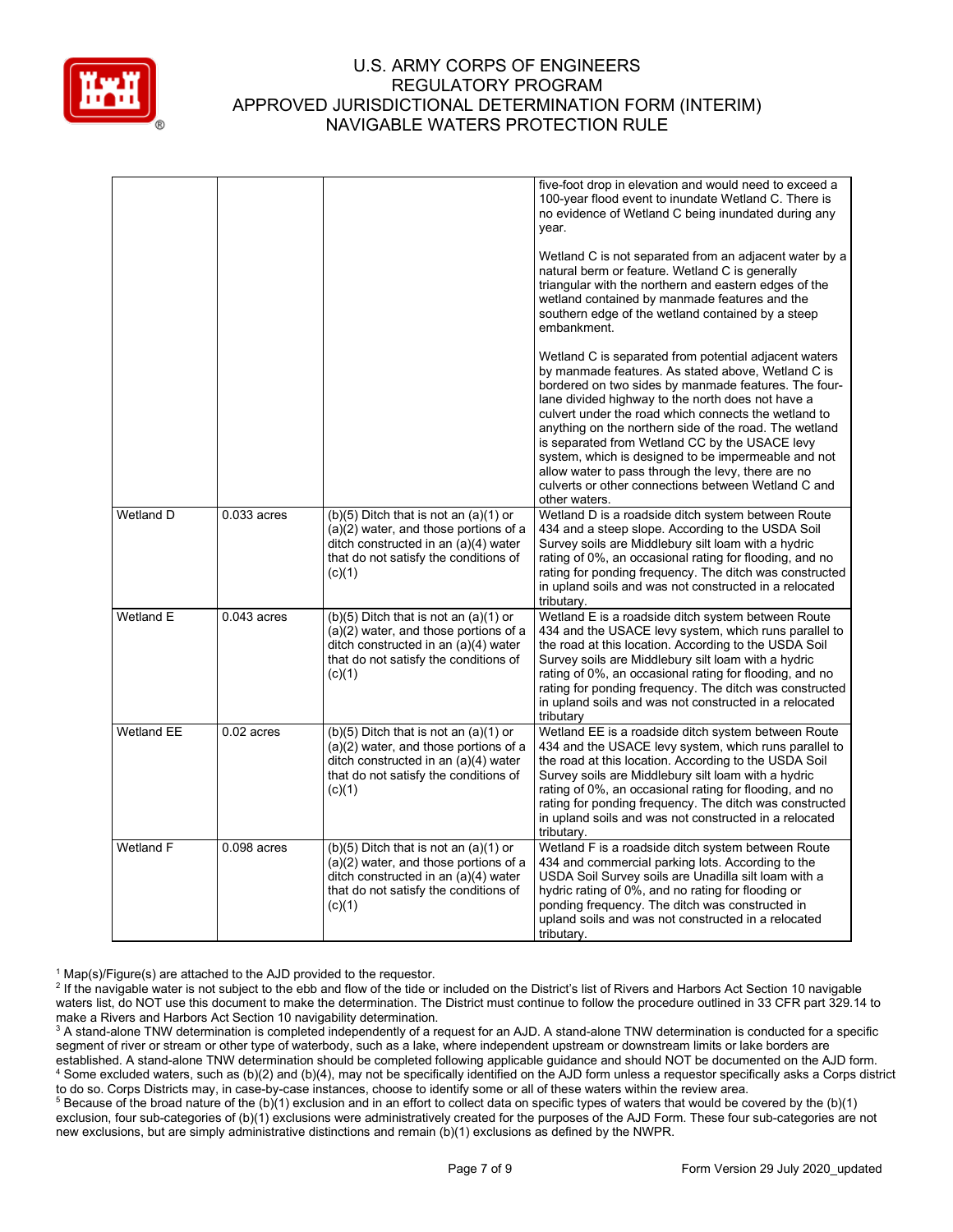

|                   |               |                                                                                                                                                                                 | five-foot drop in elevation and would need to exceed a<br>100-year flood event to inundate Wetland C. There is<br>no evidence of Wetland C being inundated during any<br>year.<br>Wetland C is not separated from an adjacent water by a<br>natural berm or feature. Wetland C is generally                                                                                                                                                                                                                                                                                       |
|-------------------|---------------|---------------------------------------------------------------------------------------------------------------------------------------------------------------------------------|-----------------------------------------------------------------------------------------------------------------------------------------------------------------------------------------------------------------------------------------------------------------------------------------------------------------------------------------------------------------------------------------------------------------------------------------------------------------------------------------------------------------------------------------------------------------------------------|
|                   |               |                                                                                                                                                                                 | triangular with the northern and eastern edges of the<br>wetland contained by manmade features and the<br>southern edge of the wetland contained by a steep<br>embankment.                                                                                                                                                                                                                                                                                                                                                                                                        |
|                   |               |                                                                                                                                                                                 | Wetland C is separated from potential adjacent waters<br>by manmade features. As stated above, Wetland C is<br>bordered on two sides by manmade features. The four-<br>lane divided highway to the north does not have a<br>culvert under the road which connects the wetland to<br>anything on the northern side of the road. The wetland<br>is separated from Wetland CC by the USACE levy<br>system, which is designed to be impermeable and not<br>allow water to pass through the levy, there are no<br>culverts or other connections between Wetland C and<br>other waters. |
| Wetland D         | $0.033$ acres | $(b)(5)$ Ditch that is not an $(a)(1)$ or<br>(a)(2) water, and those portions of a<br>ditch constructed in an (a)(4) water<br>that do not satisfy the conditions of<br>(c)(1)   | Wetland D is a roadside ditch system between Route<br>434 and a steep slope. According to the USDA Soil<br>Survey soils are Middlebury silt loam with a hydric<br>rating of 0%, an occasional rating for flooding, and no<br>rating for ponding frequency. The ditch was constructed<br>in upland soils and was not constructed in a relocated<br>tributary.                                                                                                                                                                                                                      |
| Wetland E         | $0.043$ acres | $(b)(5)$ Ditch that is not an $(a)(1)$ or<br>(a)(2) water, and those portions of a<br>ditch constructed in an (a)(4) water<br>that do not satisfy the conditions of<br>(c)(1)   | Wetland E is a roadside ditch system between Route<br>434 and the USACE levy system, which runs parallel to<br>the road at this location. According to the USDA Soil<br>Survey soils are Middlebury silt loam with a hydric<br>rating of 0%, an occasional rating for flooding, and no<br>rating for ponding frequency. The ditch was constructed<br>in upland soils and was not constructed in a relocated<br>tributary                                                                                                                                                          |
| <b>Wetland EE</b> | $0.02$ acres  | $(b)(5)$ Ditch that is not an $(a)(1)$ or<br>$(a)(2)$ water, and those portions of a<br>ditch constructed in an (a)(4) water<br>that do not satisfy the conditions of<br>(c)(1) | Wetland EE is a roadside ditch system between Route<br>434 and the USACE levy system, which runs parallel to<br>the road at this location. According to the USDA Soil<br>Survey soils are Middlebury silt loam with a hydric<br>rating of 0%, an occasional rating for flooding, and no<br>rating for ponding frequency. The ditch was constructed<br>in upland soils and was not constructed in a relocated<br>tributary.                                                                                                                                                        |
| Wetland F         | $0.098$ acres | $(b)(5)$ Ditch that is not an $(a)(1)$ or<br>(a)(2) water, and those portions of a<br>ditch constructed in an (a)(4) water<br>that do not satisfy the conditions of<br>(c)(1)   | Wetland F is a roadside ditch system between Route<br>434 and commercial parking lots. According to the<br>USDA Soil Survey soils are Unadilla silt loam with a<br>hydric rating of 0%, and no rating for flooding or<br>ponding frequency. The ditch was constructed in<br>upland soils and was not constructed in a relocated<br>tributary.                                                                                                                                                                                                                                     |

 $1$  Map(s)/Figure(s) are attached to the AJD provided to the requestor.

<sup>2</sup> If the navigable water is not subject to the ebb and flow of the tide or included on the District's list of Rivers and Harbors Act Section 10 navigable waters list, do NOT use this document to make the determination. The District must continue to follow the procedure outlined in 33 CFR part 329.14 to make a Rivers and Harbors Act Section 10 navigability determination.

<sup>3</sup> A stand-alone TNW determination is completed independently of a request for an AJD. A stand-alone TNW determination is conducted for a specific segment of river or stream or other type of waterbody, such as a lake, where independent upstream or downstream limits or lake borders are established. A stand-alone TNW determination should be completed following applicable guidance and should NOT be documented on the AJD form. <sup>4</sup> Some excluded waters, such as (b)(2) and (b)(4), may not be specifically identified on the AJD form unless a requestor specifically asks a Corps district to do so. Corps Districts may, in case-by-case instances, choose to identify some or all of these waters within the review area.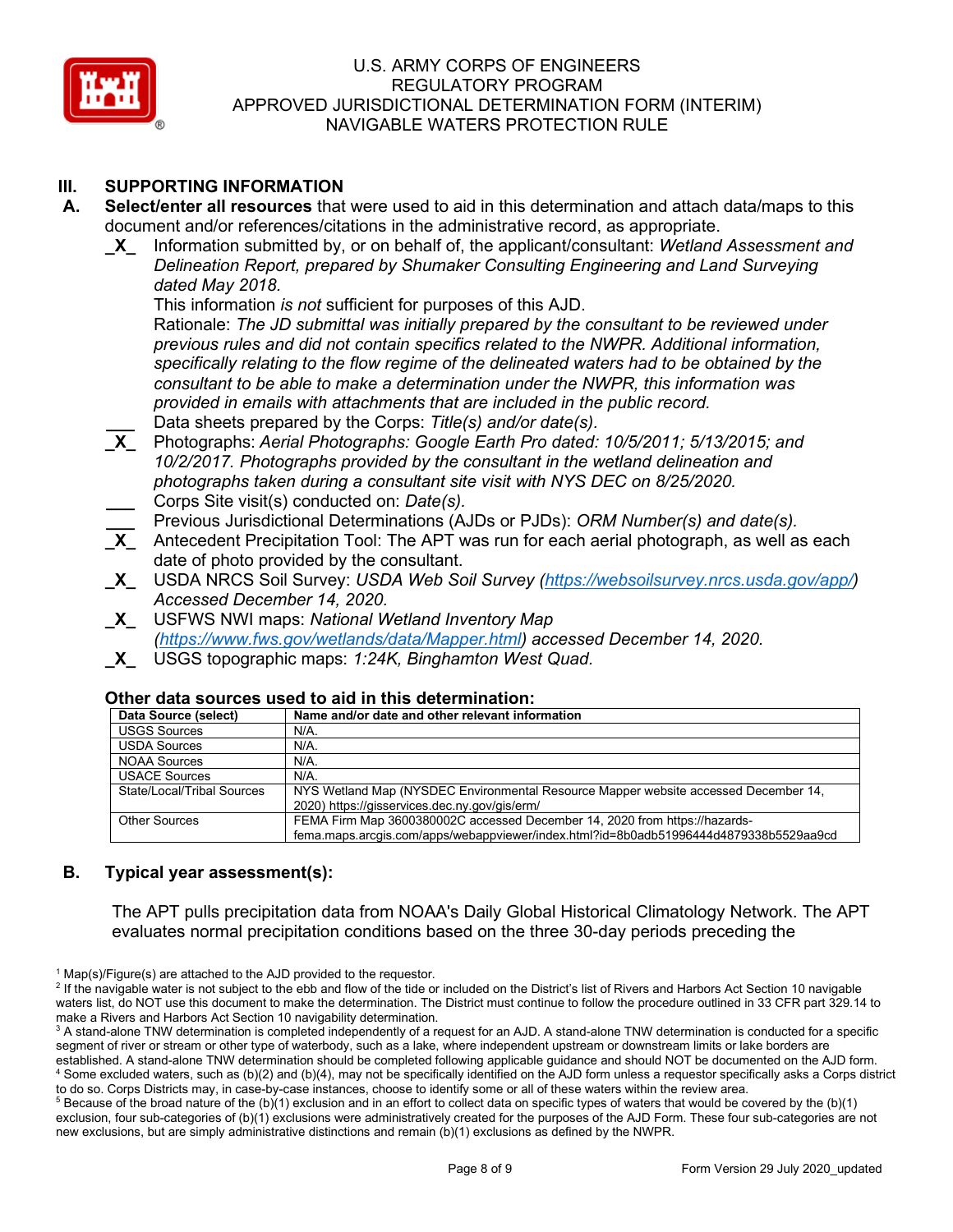

## **III. SUPPORTING INFORMATION**

- **A. Select/enter all resources** that were used to aid in this determination and attach data/maps to this document and/or references/citations in the administrative record, as appropriate.
	- **\_X\_** Information submitted by, or on behalf of, the applicant/consultant: *Wetland Assessment and Delineation Report, prepared by Shumaker Consulting Engineering and Land Surveying dated May 2018.*

This information *is not* sufficient for purposes of this AJD.

Rationale: *The JD submittal was initially prepared by the consultant to be reviewed under previous rules and did not contain specifics related to the NWPR. Additional information, specifically relating to the flow regime of the delineated waters had to be obtained by the consultant to be able to make a determination under the NWPR, this information was provided in emails with attachments that are included in the public record.*  **\_\_\_** Data sheets prepared by the Corps: *Title(s) and/or date(s).*

- **\_X\_** Photographs: *Aerial Photographs: Google Earth Pro dated: 10/5/2011; 5/13/2015; and 10/2/2017. Photographs provided by the consultant in the wetland delineation and photographs taken during a consultant site visit with NYS DEC on 8/25/2020.*  **\_\_\_** Corps Site visit(s) conducted on: *Date(s).*
- **\_\_\_** Previous Jurisdictional Determinations (AJDs or PJDs): *ORM Number(s) and date(s).*
- Antecedent Precipitation Tool: The APT was run for each aerial photograph, as well as each date of photo provided by the consultant.
- **\_X\_** USDA NRCS Soil Survey: *USDA Web Soil Survey [\(https://websoilsurvey.nrcs.usda.gov/app/\)](https://websoilsurvey.nrcs.usda.gov/app/) Accessed December 14, 2020.*
- **\_X\_** USFWS NWI maps: *National Wetland Inventory Map [\(https://www.fws.gov/wetlands/data/Mapper.html\)](https://www.fws.gov/wetlands/data/Mapper.html) accessed December 14, 2020.*
- **\_X\_** USGS topographic maps: *1:24K, Binghamton West Quad.*

#### **Other data sources used to aid in this determination:**

| Data Source (select)       | Name and/or date and other relevant information                                       |
|----------------------------|---------------------------------------------------------------------------------------|
| <b>USGS Sources</b>        | N/A.                                                                                  |
| <b>USDA Sources</b>        | $N/A$ .                                                                               |
| <b>NOAA Sources</b>        | N/A.                                                                                  |
| <b>USACE Sources</b>       | $N/A$ .                                                                               |
| State/Local/Tribal Sources | NYS Wetland Map (NYSDEC Environmental Resource Mapper website accessed December 14,   |
|                            | 2020) https://gisservices.dec.ny.gov/gis/erm/                                         |
| <b>Other Sources</b>       | FEMA Firm Map 3600380002C accessed December 14, 2020 from https://hazards-            |
|                            | fema.maps.arcgis.com/apps/webappviewer/index.html?id=8b0adb51996444d4879338b5529aa9cd |

## **B. Typical year assessment(s):**

The APT pulls precipitation data from NOAA's Daily Global Historical Climatology Network. The APT evaluates normal precipitation conditions based on the three 30-day periods preceding the

 $1$  Map(s)/Figure(s) are attached to the AJD provided to the requestor.

<sup>&</sup>lt;sup>2</sup> If the navigable water is not subject to the ebb and flow of the tide or included on the District's list of Rivers and Harbors Act Section 10 navigable waters list, do NOT use this document to make the determination. The District must continue to follow the procedure outlined in 33 CFR part 329.14 to make a Rivers and Harbors Act Section 10 navigability determination.

<sup>&</sup>lt;sup>3</sup> A stand-alone TNW determination is completed independently of a request for an AJD. A stand-alone TNW determination is conducted for a specific segment of river or stream or other type of waterbody, such as a lake, where independent upstream or downstream limits or lake borders are established. A stand-alone TNW determination should be completed following applicable guidance and should NOT be documented on the AJD form. <sup>4</sup> Some excluded waters, such as (b)(2) and (b)(4), may not be specifically identified on the AJD form unless a requestor specifically asks a Corps district to do so. Corps Districts may, in case-by-case instances, choose to identify some or all of these waters within the review area.

 $5$  Because of the broad nature of the (b)(1) exclusion and in an effort to collect data on specific types of waters that would be covered by the (b)(1) exclusion, four sub-categories of (b)(1) exclusions were administratively created for the purposes of the AJD Form. These four sub-categories are not new exclusions, but are simply administrative distinctions and remain (b)(1) exclusions as defined by the NWPR.